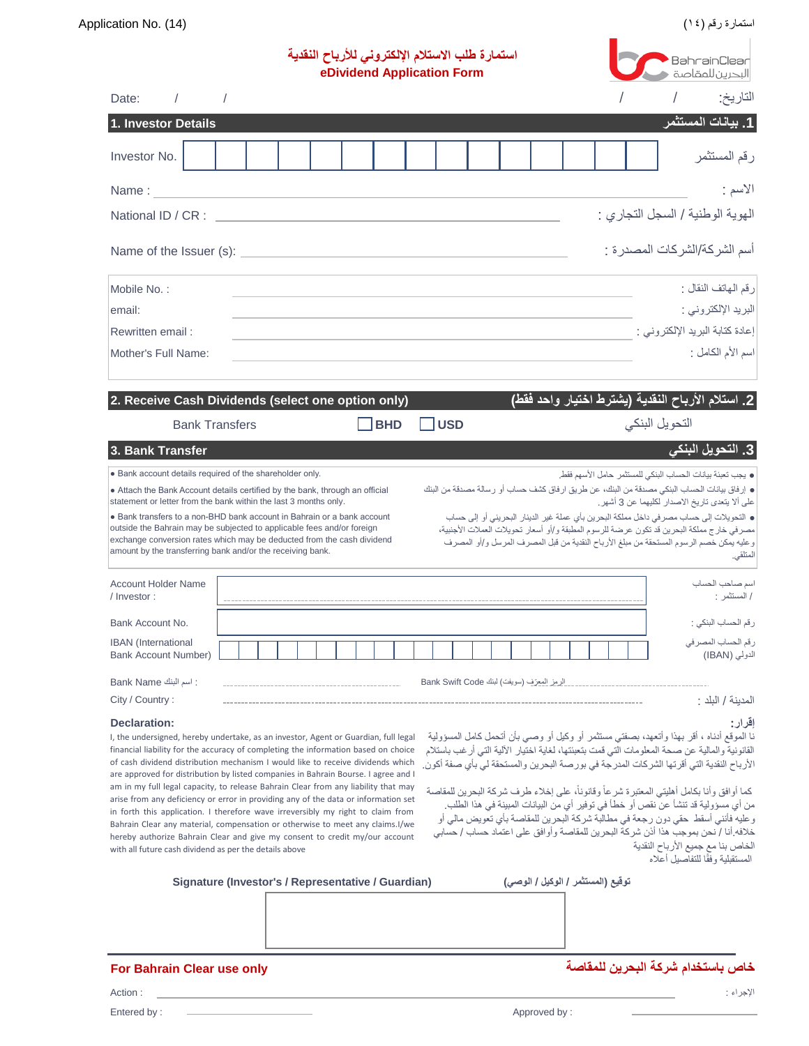|                                                                                                                                                                                                                                                                                                                                                                                                                                                                                                                                                                                                                                                                                                                                                                                                                                                                     |          | استمارة طلب الاستلام الإلكترونى للأرباح النقدية<br>eDividend Application Form |  |  |            |  |                                            |  | BahrainClear<br>البحرين للمقاصة   |  |  |                |                                                                                                                                                                                                                                                                                                                                                                                                                                                                                                                                                                                                                                                                                                                  |          |
|---------------------------------------------------------------------------------------------------------------------------------------------------------------------------------------------------------------------------------------------------------------------------------------------------------------------------------------------------------------------------------------------------------------------------------------------------------------------------------------------------------------------------------------------------------------------------------------------------------------------------------------------------------------------------------------------------------------------------------------------------------------------------------------------------------------------------------------------------------------------|----------|-------------------------------------------------------------------------------|--|--|------------|--|--------------------------------------------|--|-----------------------------------|--|--|----------------|------------------------------------------------------------------------------------------------------------------------------------------------------------------------------------------------------------------------------------------------------------------------------------------------------------------------------------------------------------------------------------------------------------------------------------------------------------------------------------------------------------------------------------------------------------------------------------------------------------------------------------------------------------------------------------------------------------------|----------|
| Date:<br>$\sqrt{2}$                                                                                                                                                                                                                                                                                                                                                                                                                                                                                                                                                                                                                                                                                                                                                                                                                                                 | $\prime$ |                                                                               |  |  |            |  |                                            |  |                                   |  |  |                |                                                                                                                                                                                                                                                                                                                                                                                                                                                                                                                                                                                                                                                                                                                  | التاريخ: |
| 1. Investor Details                                                                                                                                                                                                                                                                                                                                                                                                                                                                                                                                                                                                                                                                                                                                                                                                                                                 |          |                                                                               |  |  |            |  |                                            |  |                                   |  |  |                | 1. بيانات المستثمر                                                                                                                                                                                                                                                                                                                                                                                                                                                                                                                                                                                                                                                                                               |          |
| Investor No.                                                                                                                                                                                                                                                                                                                                                                                                                                                                                                                                                                                                                                                                                                                                                                                                                                                        |          |                                                                               |  |  |            |  |                                            |  |                                   |  |  |                | رقم المستثمر                                                                                                                                                                                                                                                                                                                                                                                                                                                                                                                                                                                                                                                                                                     |          |
| Name:                                                                                                                                                                                                                                                                                                                                                                                                                                                                                                                                                                                                                                                                                                                                                                                                                                                               |          |                                                                               |  |  |            |  |                                            |  |                                   |  |  |                |                                                                                                                                                                                                                                                                                                                                                                                                                                                                                                                                                                                                                                                                                                                  | الاسم :  |
| National ID / CR :                                                                                                                                                                                                                                                                                                                                                                                                                                                                                                                                                                                                                                                                                                                                                                                                                                                  |          |                                                                               |  |  |            |  |                                            |  |                                   |  |  |                | الـهويـة الوطنية / السجل التجاري :                                                                                                                                                                                                                                                                                                                                                                                                                                                                                                                                                                                                                                                                               |          |
|                                                                                                                                                                                                                                                                                                                                                                                                                                                                                                                                                                                                                                                                                                                                                                                                                                                                     |          |                                                                               |  |  |            |  |                                            |  |                                   |  |  |                | أسم الشركة/الشركات المصدر ة :                                                                                                                                                                                                                                                                                                                                                                                                                                                                                                                                                                                                                                                                                    |          |
| Mobile No.:                                                                                                                                                                                                                                                                                                                                                                                                                                                                                                                                                                                                                                                                                                                                                                                                                                                         |          |                                                                               |  |  |            |  |                                            |  |                                   |  |  |                | رقم الهاتف النقال :                                                                                                                                                                                                                                                                                                                                                                                                                                                                                                                                                                                                                                                                                              |          |
| email:                                                                                                                                                                                                                                                                                                                                                                                                                                                                                                                                                                                                                                                                                                                                                                                                                                                              |          |                                                                               |  |  |            |  |                                            |  |                                   |  |  |                | البريد الإلكتروني :                                                                                                                                                                                                                                                                                                                                                                                                                                                                                                                                                                                                                                                                                              |          |
| Rewritten email:                                                                                                                                                                                                                                                                                                                                                                                                                                                                                                                                                                                                                                                                                                                                                                                                                                                    |          |                                                                               |  |  |            |  |                                            |  |                                   |  |  |                | إعادة كتابة البريد الإلكتر وني :                                                                                                                                                                                                                                                                                                                                                                                                                                                                                                                                                                                                                                                                                 |          |
| Mother's Full Name:                                                                                                                                                                                                                                                                                                                                                                                                                                                                                                                                                                                                                                                                                                                                                                                                                                                 |          |                                                                               |  |  |            |  |                                            |  |                                   |  |  |                | اسم الأم الكامل :                                                                                                                                                                                                                                                                                                                                                                                                                                                                                                                                                                                                                                                                                                |          |
| 2. Receive Cash Dividends (select one option only)                                                                                                                                                                                                                                                                                                                                                                                                                                                                                                                                                                                                                                                                                                                                                                                                                  |          |                                                                               |  |  |            |  |                                            |  |                                   |  |  |                | 2. استلام الأرباح النقدية (يشترط اختيار واحد فقط)                                                                                                                                                                                                                                                                                                                                                                                                                                                                                                                                                                                                                                                                |          |
| <b>Bank Transfers</b>                                                                                                                                                                                                                                                                                                                                                                                                                                                                                                                                                                                                                                                                                                                                                                                                                                               |          |                                                                               |  |  | <b>BHD</b> |  | <b>USD</b>                                 |  |                                   |  |  | التحويل البنكي |                                                                                                                                                                                                                                                                                                                                                                                                                                                                                                                                                                                                                                                                                                                  |          |
| 3. Bank Transfer                                                                                                                                                                                                                                                                                                                                                                                                                                                                                                                                                                                                                                                                                                                                                                                                                                                    |          |                                                                               |  |  |            |  |                                            |  |                                   |  |  |                | <mark>3.</mark> التحويل البنكي                                                                                                                                                                                                                                                                                                                                                                                                                                                                                                                                                                                                                                                                                   |          |
| statement or letter from the bank within the last 3 months only.<br>• Bank transfers to a non-BHD bank account in Bahrain or a bank account<br>outside the Bahrain may be subjected to applicable fees and/or foreign<br>exchange conversion rates which may be deducted from the cash dividend<br>amount by the transferring bank and/or the receiving bank.                                                                                                                                                                                                                                                                                                                                                                                                                                                                                                       |          |                                                                               |  |  |            |  |                                            |  |                                   |  |  |                | ● إرفاق بيانات الحساب البنكي مصدقة من البنك، عن طريق ارفاق كشف حساب أو رسالة مصدقة من البنك<br>على ألا يتعدى تاريخ الاصدار لكليهما عن 3 أشهر.<br>• التحويلات إلى حساب مصرفي داخل مملكة البحرين بأي عملة غير الدينار البحريني أو إلى حساب<br>مصرفي خارج مملكة البحرين قد تكون عرضة للرسوم المطبقة و/أو أسعار تحويلات العملات الأجنبية،<br>وعليه يمكن خصم الرسوم المستحقة من مبلغ الأرباح النقدية من قبل المصرف المرسل و/أو المصرف                                                                                                                                                                                                                                                                                 | المتلقى. |
| <b>Account Holder Name</b><br>/ Investor:                                                                                                                                                                                                                                                                                                                                                                                                                                                                                                                                                                                                                                                                                                                                                                                                                           |          |                                                                               |  |  |            |  |                                            |  |                                   |  |  |                | اسم صباحب الحساب<br>/ المستثمر :                                                                                                                                                                                                                                                                                                                                                                                                                                                                                                                                                                                                                                                                                 |          |
| Bank Account No.                                                                                                                                                                                                                                                                                                                                                                                                                                                                                                                                                                                                                                                                                                                                                                                                                                                    |          |                                                                               |  |  |            |  |                                            |  |                                   |  |  |                | رقم الحساب البنكي :                                                                                                                                                                                                                                                                                                                                                                                                                                                                                                                                                                                                                                                                                              |          |
| <b>IBAN</b> (International<br>Bank Account Number)                                                                                                                                                                                                                                                                                                                                                                                                                                                                                                                                                                                                                                                                                                                                                                                                                  |          |                                                                               |  |  |            |  |                                            |  |                                   |  |  |                | رقم الحساب المصر في<br>الدولي (IBAN)                                                                                                                                                                                                                                                                                                                                                                                                                                                                                                                                                                                                                                                                             |          |
| : اسم البنك Bank Name                                                                                                                                                                                                                                                                                                                                                                                                                                                                                                                                                                                                                                                                                                                                                                                                                                               |          |                                                                               |  |  |            |  | الرمز المعرّف (سويفت) لبنك Bank Swift Code |  |                                   |  |  |                |                                                                                                                                                                                                                                                                                                                                                                                                                                                                                                                                                                                                                                                                                                                  |          |
| City / Country:                                                                                                                                                                                                                                                                                                                                                                                                                                                                                                                                                                                                                                                                                                                                                                                                                                                     |          |                                                                               |  |  |            |  |                                            |  |                                   |  |  |                | المدبنة / البلد :                                                                                                                                                                                                                                                                                                                                                                                                                                                                                                                                                                                                                                                                                                |          |
| <b>Declaration:</b><br>I, the undersigned, hereby undertake, as an investor, Agent or Guardian, full legal<br>financial liability for the accuracy of completing the information based on choice<br>of cash dividend distribution mechanism I would like to receive dividends which<br>are approved for distribution by listed companies in Bahrain Bourse. I agree and I<br>am in my full legal capacity, to release Bahrain Clear from any liability that may<br>arise from any deficiency or error in providing any of the data or information set<br>in forth this application. I therefore wave irreversibly my right to claim from<br>Bahrain Clear any material, compensation or otherwise to meet any claims. I/we<br>hereby authorize Bahrain Clear and give my consent to credit my/our account<br>with all future cash dividend as per the details above |          |                                                                               |  |  |            |  |                                            |  |                                   |  |  |                | نا الموقع أدناه ، أقر بهذا وأتعهد، بصفتي مستثمر أو وكيل أو وصمي بأن أتحمل كامل المسؤولية<br>القانونية والمالية عن صحة المعلومات التي قمت بتعبئتها، لغاية اختيار الألية التي أرغب باستلام<br>الأرباح النقدية التي أقرتها الشركات المدرجة في بورصة البحرين والمستحقة لي بأي صفة أكون.<br>كما أوافق وأنا بكامل أهليتي المعتبرة شرعأ وقانونأ، على إخلاء طرف شركة البحرين للمقاصة<br>من أي مسؤولية قد تنشأ عن نقص أو خطأ في توفير أي من البيانات المبينة في هذا الطلب.<br>وعليه فأنني أسقط حقى دون رجعة في مطالبة شركة البحرين للمقاصة بأي تعويض مالي أو<br>خلافه أنا / نحن بموجب هذا أذن شركة البحرين للمقاصة وأوافق على اعتماد حساب / حسابي<br>الخاص بنا مع جميع الأرباح النقدية<br>المستقبلية وفقًا للتفاصيل أعلاه | افرار :  |
| Signature (Investor's / Representative / Guardian)                                                                                                                                                                                                                                                                                                                                                                                                                                                                                                                                                                                                                                                                                                                                                                                                                  |          |                                                                               |  |  |            |  |                                            |  | توقيع (المستثمر / الوكيل / الوصى) |  |  |                |                                                                                                                                                                                                                                                                                                                                                                                                                                                                                                                                                                                                                                                                                                                  |          |
|                                                                                                                                                                                                                                                                                                                                                                                                                                                                                                                                                                                                                                                                                                                                                                                                                                                                     |          |                                                                               |  |  |            |  |                                            |  |                                   |  |  |                |                                                                                                                                                                                                                                                                                                                                                                                                                                                                                                                                                                                                                                                                                                                  |          |

**خاص باستخدام شركة البحرين للمقاصة only use Clear Bahrain For**

| ,,,,,,,,,<br>$\sim$<br>$\sim$<br>and the contract of the con- |  |  |
|---------------------------------------------------------------|--|--|
|                                                               |  |  |
|                                                               |  |  |
|                                                               |  |  |
|                                                               |  |  |
|                                                               |  |  |